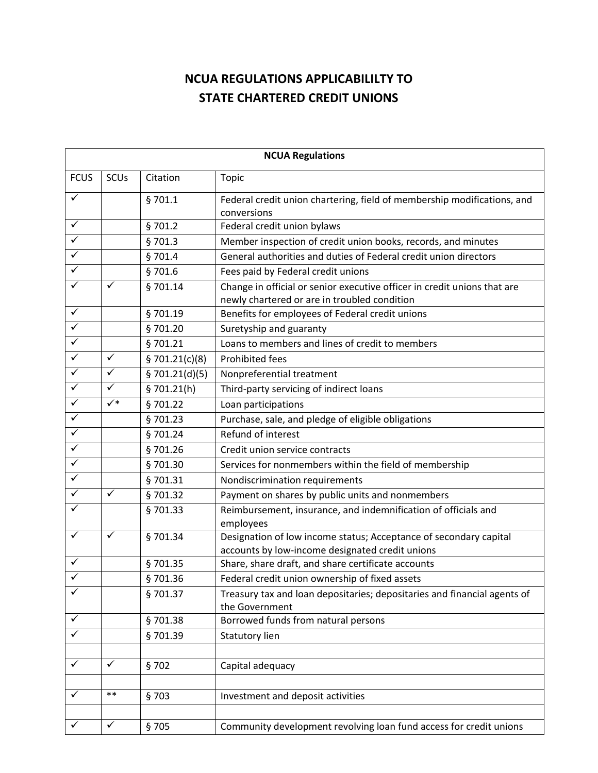## **NCUA REGULATIONS APPLICABILILTY TO STATE CHARTERED CREDIT UNIONS**

| <b>NCUA Regulations</b> |                |                |                                                                                                                          |  |  |
|-------------------------|----------------|----------------|--------------------------------------------------------------------------------------------------------------------------|--|--|
| <b>FCUS</b>             | SCUs           | Citation       | <b>Topic</b>                                                                                                             |  |  |
| $\checkmark$            |                | §701.1         | Federal credit union chartering, field of membership modifications, and<br>conversions                                   |  |  |
| $\checkmark$            |                | §701.2         | Federal credit union bylaws                                                                                              |  |  |
| $\blacktriangledown$    |                | §701.3         | Member inspection of credit union books, records, and minutes                                                            |  |  |
| $\checkmark$            |                | §701.4         | General authorities and duties of Federal credit union directors                                                         |  |  |
| $\overline{\checkmark}$ |                | \$701.6        | Fees paid by Federal credit unions                                                                                       |  |  |
|                         | ✓              | §701.14        | Change in official or senior executive officer in credit unions that are<br>newly chartered or are in troubled condition |  |  |
| $\checkmark$            |                | §701.19        | Benefits for employees of Federal credit unions                                                                          |  |  |
| $\checkmark$            |                | §701.20        | Suretyship and guaranty                                                                                                  |  |  |
| $\overline{\checkmark}$ |                | §701.21        | Loans to members and lines of credit to members                                                                          |  |  |
| $\checkmark$            | $\checkmark$   | \$701.21(c)(8) | Prohibited fees                                                                                                          |  |  |
| $\checkmark$            | $\checkmark$   | \$701.21(d)(5) | Nonpreferential treatment                                                                                                |  |  |
| $\checkmark$            | $\checkmark$   | \$701.21(h)    | Third-party servicing of indirect loans                                                                                  |  |  |
| $\checkmark$            | $\checkmark^*$ | §701.22        | Loan participations                                                                                                      |  |  |
| $\overline{\checkmark}$ |                | §701.23        | Purchase, sale, and pledge of eligible obligations                                                                       |  |  |
| $\overline{\checkmark}$ |                | §701.24        | Refund of interest                                                                                                       |  |  |
| $\overline{\checkmark}$ |                | §701.26        | Credit union service contracts                                                                                           |  |  |
| $\overline{\checkmark}$ |                | §701.30        | Services for nonmembers within the field of membership                                                                   |  |  |
| $\checkmark$            |                | §701.31        | Nondiscrimination requirements                                                                                           |  |  |
| $\checkmark$            | $\checkmark$   | §701.32        | Payment on shares by public units and nonmembers                                                                         |  |  |
| ✓                       |                | §701.33        | Reimbursement, insurance, and indemnification of officials and<br>employees                                              |  |  |
| $\checkmark$            | ✓              | §701.34        | Designation of low income status; Acceptance of secondary capital<br>accounts by low-income designated credit unions     |  |  |
| ✓                       |                | §701.35        | Share, share draft, and share certificate accounts                                                                       |  |  |
|                         |                | §701.36        | Federal credit union ownership of fixed assets                                                                           |  |  |
| ✓                       |                | §701.37        | Treasury tax and loan depositaries; depositaries and financial agents of<br>the Government                               |  |  |
|                         |                | §701.38        | Borrowed funds from natural persons                                                                                      |  |  |
|                         |                | §701.39        | Statutory lien                                                                                                           |  |  |
|                         |                |                |                                                                                                                          |  |  |
| ✓                       | $\checkmark$   | \$702          | Capital adequacy                                                                                                         |  |  |
|                         | $***$          |                |                                                                                                                          |  |  |
| $\checkmark$            |                | §703           | Investment and deposit activities                                                                                        |  |  |
| ✓                       | ✓              | §705           | Community development revolving loan fund access for credit unions                                                       |  |  |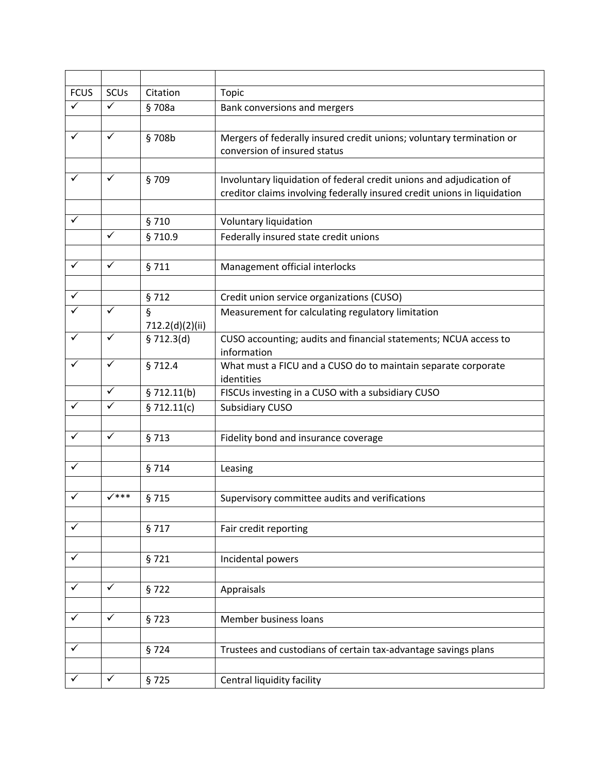| <b>FCUS</b>  | <b>SCUs</b>             | Citation                      | Topic                                                                    |
|--------------|-------------------------|-------------------------------|--------------------------------------------------------------------------|
| $\checkmark$ | $\checkmark$            | §708a                         | Bank conversions and mergers                                             |
|              |                         |                               |                                                                          |
| $\checkmark$ | $\checkmark$            | §708b                         | Mergers of federally insured credit unions; voluntary termination or     |
|              |                         |                               | conversion of insured status                                             |
|              |                         |                               |                                                                          |
| ✓            | $\checkmark$            | §709                          | Involuntary liquidation of federal credit unions and adjudication of     |
|              |                         |                               | creditor claims involving federally insured credit unions in liquidation |
| ✓            |                         |                               |                                                                          |
|              | $\overline{\checkmark}$ | §710                          | Voluntary liquidation                                                    |
|              |                         | §710.9                        | Federally insured state credit unions                                    |
| ✓            | $\checkmark$            |                               |                                                                          |
|              |                         | §711                          | Management official interlocks                                           |
| ✓            |                         |                               |                                                                          |
| $\checkmark$ | $\checkmark$            | §712                          | Credit union service organizations (CUSO)                                |
|              |                         | $\S$                          | Measurement for calculating regulatory limitation                        |
| $\checkmark$ | $\checkmark$            | 712.2(d)(2)(ii)<br>\$712.3(d) | CUSO accounting; audits and financial statements; NCUA access to         |
|              |                         |                               | information                                                              |
| ✓            | $\checkmark$            | §712.4                        | What must a FICU and a CUSO do to maintain separate corporate            |
|              |                         |                               | identities                                                               |
|              | $\checkmark$            | \$712.11(b)                   | FISCUs investing in a CUSO with a subsidiary CUSO                        |
| ✓            | ✓                       | \$712.11(c)                   | <b>Subsidiary CUSO</b>                                                   |
|              |                         |                               |                                                                          |
| $\checkmark$ | $\checkmark$            | §713                          | Fidelity bond and insurance coverage                                     |
|              |                         |                               |                                                                          |
| $\checkmark$ |                         | §714                          | Leasing                                                                  |
|              |                         |                               |                                                                          |
| $\checkmark$ | $\checkmark$ ***        | §715                          | Supervisory committee audits and verifications                           |
|              |                         |                               |                                                                          |
| ✓            |                         | §717                          | Fair credit reporting                                                    |
|              |                         |                               |                                                                          |
| $\checkmark$ |                         | §721                          | Incidental powers                                                        |
|              |                         |                               |                                                                          |
| $\checkmark$ | $\checkmark$            | §722                          | Appraisals                                                               |
|              |                         |                               |                                                                          |
| $\checkmark$ | $\checkmark$            | §723                          | Member business loans                                                    |
|              |                         |                               |                                                                          |
| $\checkmark$ |                         | §724                          | Trustees and custodians of certain tax-advantage savings plans           |
|              |                         |                               |                                                                          |
| ✓            | $\checkmark$            | §725                          | Central liquidity facility                                               |